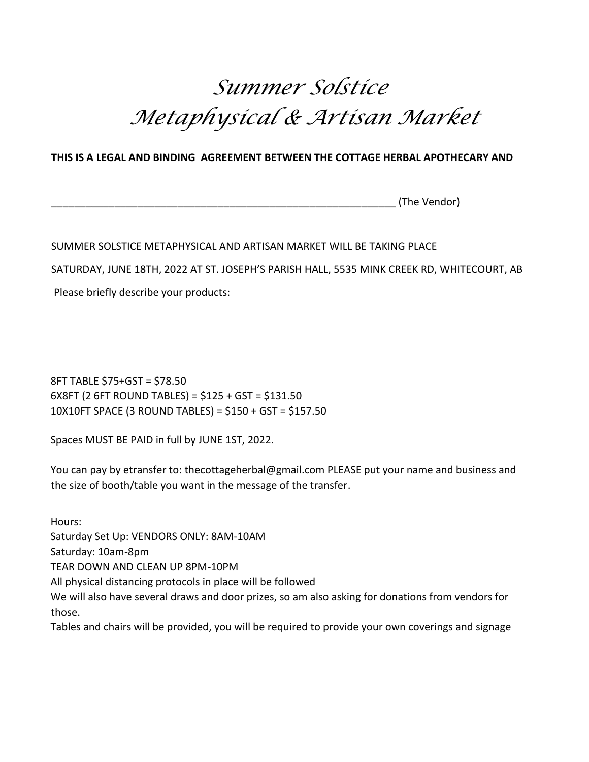## *Summer Solstice Metaphysical & Artisan Market*

## **THIS IS A LEGAL AND BINDING AGREEMENT BETWEEN THE COTTAGE HERBAL APOTHECARY AND**

(The Vendor)

## SUMMER SOLSTICE METAPHYSICAL AND ARTISAN MARKET WILL BE TAKING PLACE

SATURDAY, JUNE 18TH, 2022 AT ST. JOSEPH'S PARISH HALL, 5535 MINK CREEK RD, WHITECOURT, AB

Please briefly describe your products:

8FT TABLE \$75+GST = \$78.50 6X8FT (2 6FT ROUND TABLES) = \$125 + GST = \$131.50 10X10FT SPACE (3 ROUND TABLES) = \$150 + GST = \$157.50

Spaces MUST BE PAID in full by JUNE 1ST, 2022.

You can pay by etransfer to: thecottageherbal@gmail.com PLEASE put your name and business and the size of booth/table you want in the message of the transfer.

Hours: Saturday Set Up: VENDORS ONLY: 8AM-10AM Saturday: 10am-8pm TEAR DOWN AND CLEAN UP 8PM-10PM All physical distancing protocols in place will be followed We will also have several draws and door prizes, so am also asking for donations from vendors for those. Tables and chairs will be provided, you will be required to provide your own coverings and signage